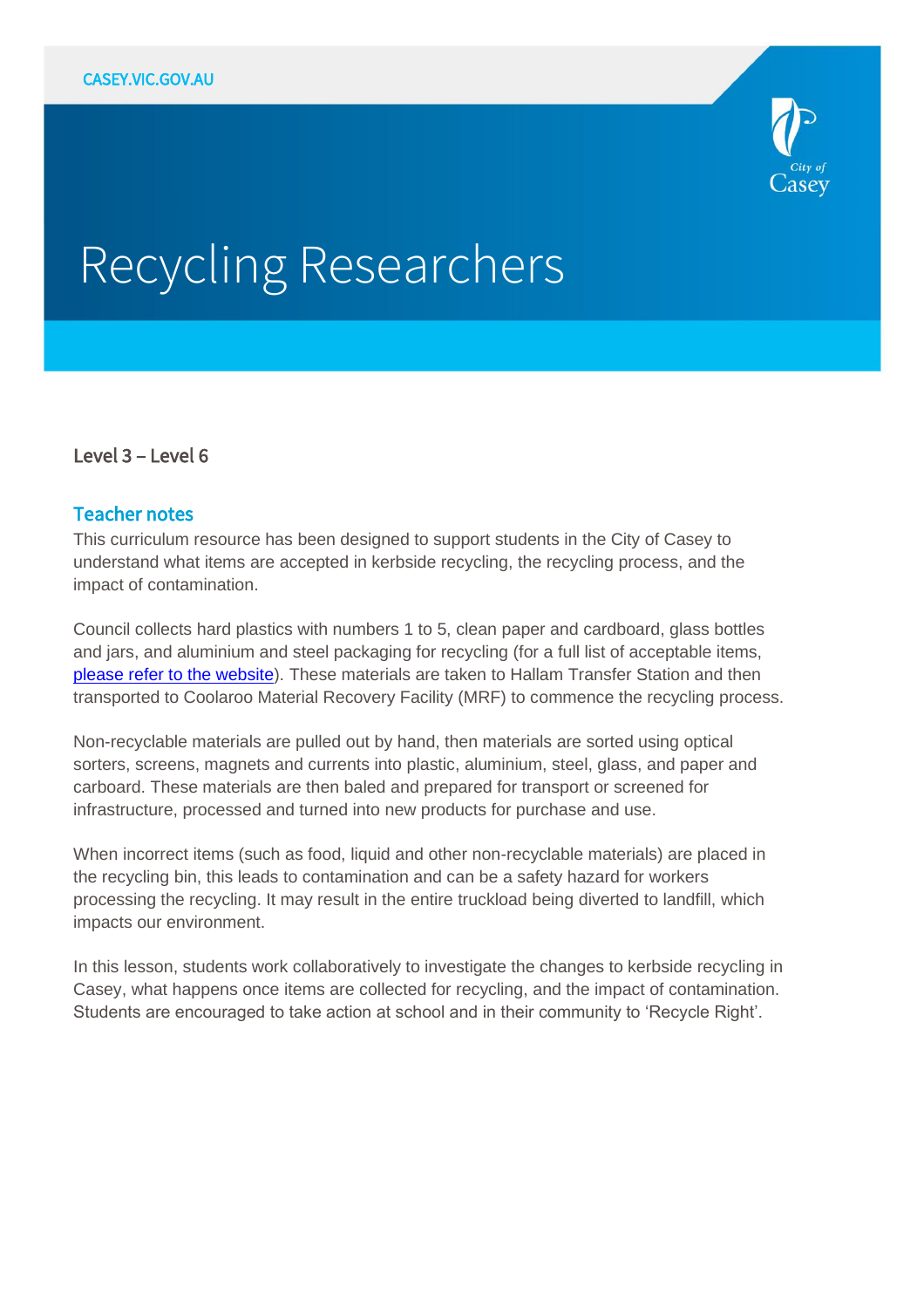

# Recycling Researchers

## Level 3 – Level 6

## Teacher notes

This curriculum resource has been designed to support students in the City of Casey to understand what items are accepted in kerbside recycling, the recycling process, and the impact of contamination.

Council collects hard plastics with numbers 1 to 5, clean paper and cardboard, glass bottles and jars, and aluminium and steel packaging for recycling (for a full list of acceptable items, [please refer to the website\)](https://www.casey.vic.gov.au/what-you-can-put-your-bins). These materials are taken to Hallam Transfer Station and then transported to Coolaroo Material Recovery Facility (MRF) to commence the recycling process.

Non-recyclable materials are pulled out by hand, then materials are sorted using optical sorters, screens, magnets and currents into plastic, aluminium, steel, glass, and paper and carboard. These materials are then baled and prepared for transport or screened for infrastructure, processed and turned into new products for purchase and use.

When incorrect items (such as food, liquid and other non-recyclable materials) are placed in the recycling bin, this leads to contamination and can be a safety hazard for workers processing the recycling. It may result in the entire truckload being diverted to landfill, which impacts our environment.

In this lesson, students work collaboratively to investigate the changes to kerbside recycling in Casey, what happens once items are collected for recycling, and the impact of contamination. Students are encouraged to take action at school and in their community to 'Recycle Right'.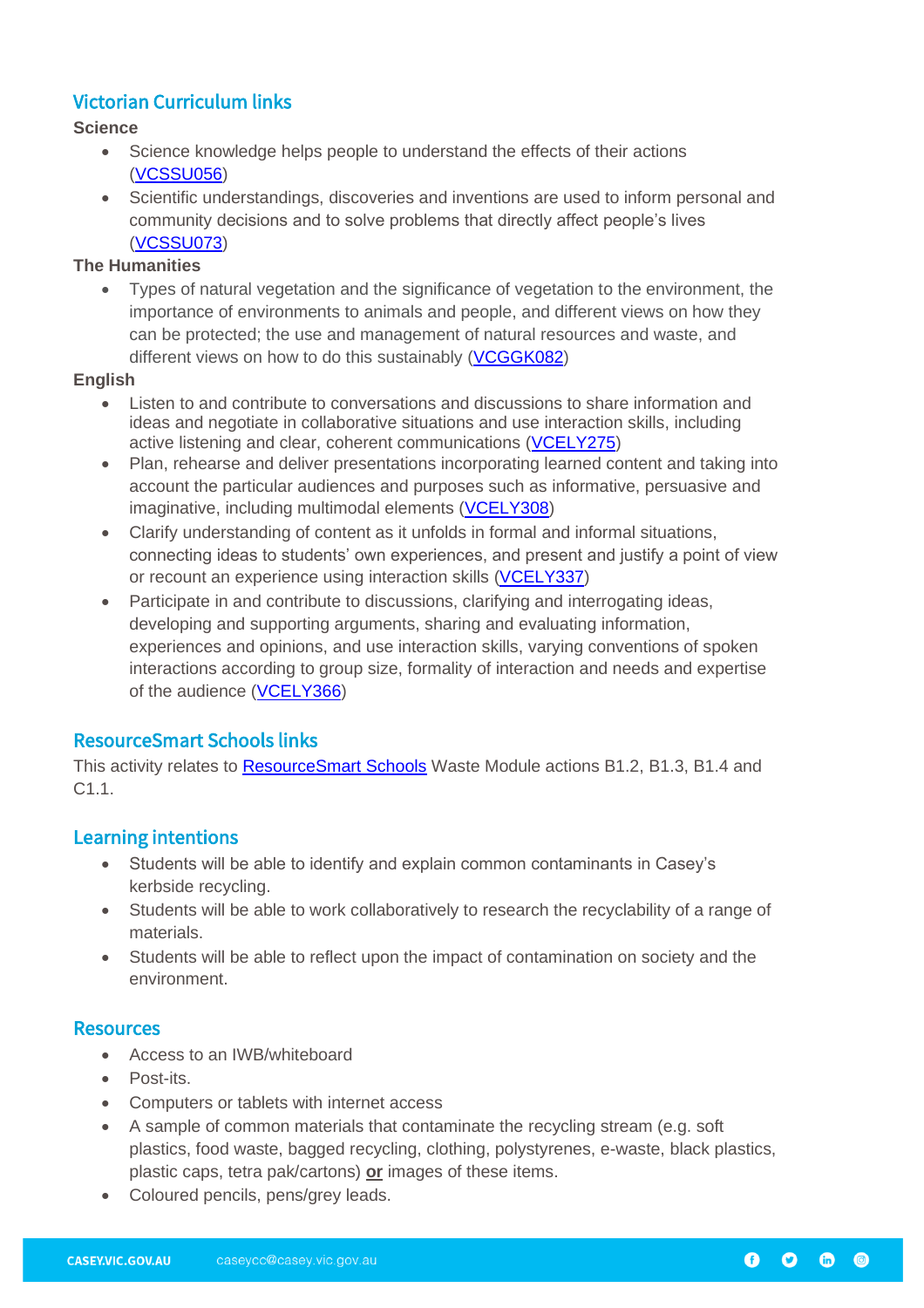# Victorian Curriculum links

## **Science**

- Science knowledge helps people to understand the effects of their actions [\(VCSSU056\)](https://victoriancurriculum.vcaa.vic.edu.au/Curriculum/ContentDescription/VCSSU056)
- Scientific understandings, discoveries and inventions are used to inform personal and community decisions and to solve problems that directly affect people's lives [\(VCSSU073\)](https://victoriancurriculum.vcaa.vic.edu.au/Curriculum/ContentDescription/VCSSU073)

#### **The Humanities**

• Types of natural vegetation and the significance of vegetation to the environment, the importance of environments to animals and people, and different views on how they can be protected; the use and management of natural resources and waste, and different views on how to do this sustainably [\(VCGGK082\)](https://victoriancurriculum.vcaa.vic.edu.au/Curriculum/ContentDescription/VCGGK082)

#### **English**

- Listen to and contribute to conversations and discussions to share information and ideas and negotiate in collaborative situations and use interaction skills, including active listening and clear, coherent communications [\(VCELY275\)](https://victoriancurriculum.vcaa.vic.edu.au/Curriculum/ContentDescription/VCELY275)
- Plan, rehearse and deliver presentations incorporating learned content and taking into account the particular audiences and purposes such as informative, persuasive and imaginative, including multimodal elements [\(VCELY308\)](https://victoriancurriculum.vcaa.vic.edu.au/Curriculum/ContentDescription/VCELY308)
- Clarify understanding of content as it unfolds in formal and informal situations, connecting ideas to students' own experiences, and present and justify a point of view or recount an experience using interaction skills [\(VCELY337\)](https://victoriancurriculum.vcaa.vic.edu.au/Curriculum/ContentDescription/VCELY337)
- Participate in and contribute to discussions, clarifying and interrogating ideas, developing and supporting arguments, sharing and evaluating information, experiences and opinions, and use interaction skills, varying conventions of spoken interactions according to group size, formality of interaction and needs and expertise of the audience [\(VCELY366\)](https://victoriancurriculum.vcaa.vic.edu.au/Curriculum/ContentDescription/VCELY366)

# ResourceSmart Schools links

This activity relates to [ResourceSmart Schools](https://www.sustainability.vic.gov.au/School/Get-started) Waste Module actions B1.2, B1.3, B1.4 and C1.1.

# Learning intentions

- Students will be able to identify and explain common contaminants in Casey's kerbside recycling.
- Students will be able to work collaboratively to research the recyclability of a range of materials.
- Students will be able to reflect upon the impact of contamination on society and the environment.

## **Resources**

- Access to an IWB/whiteboard
- Post-its.
- Computers or tablets with internet access
- A sample of common materials that contaminate the recycling stream (e.g. soft plastics, food waste, bagged recycling, clothing, polystyrenes, e-waste, black plastics, plastic caps, tetra pak/cartons) **or** images of these items.
- Coloured pencils, pens/grey leads.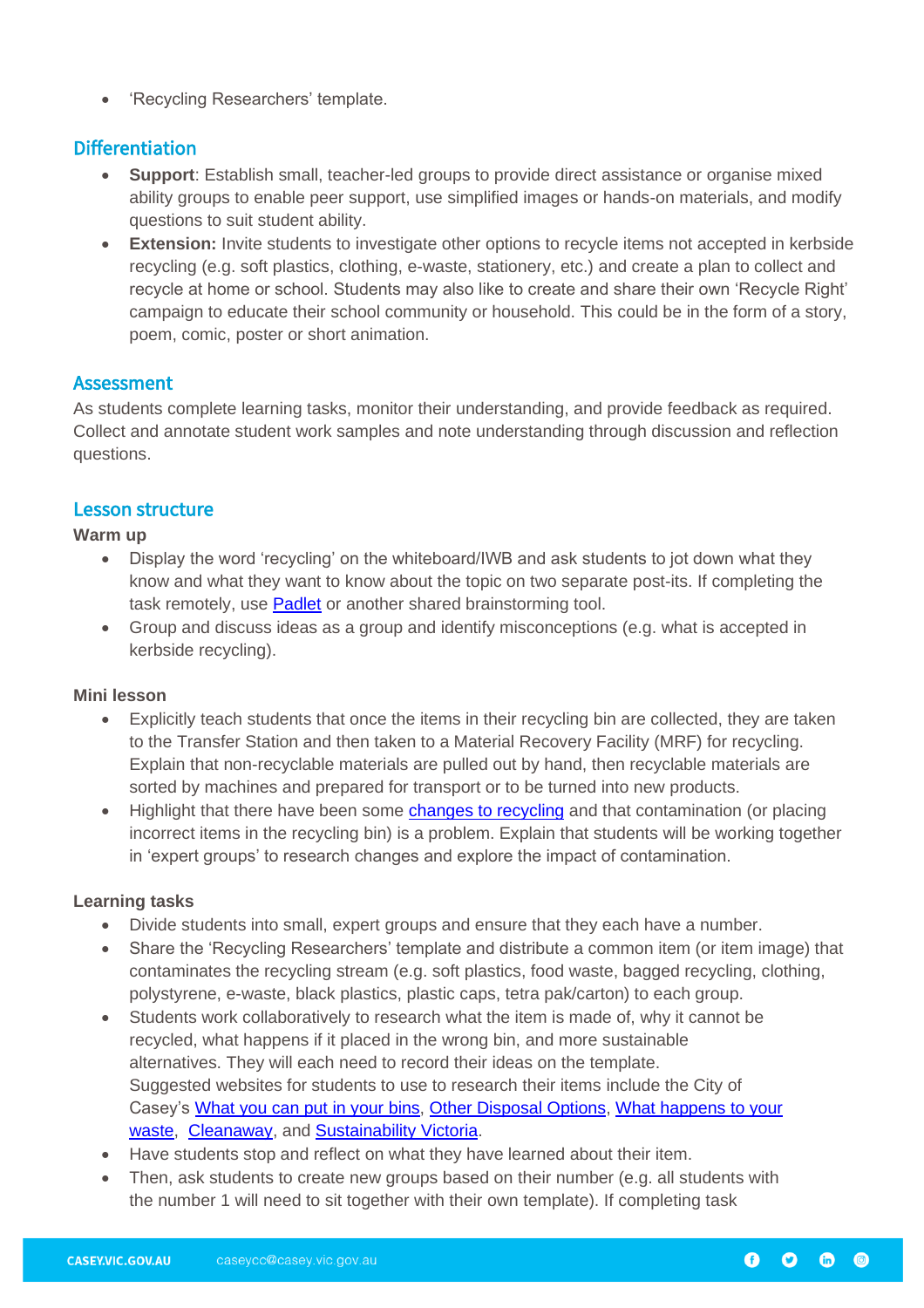• 'Recycling Researchers' template.

# **Differentiation**

- **Support**: Establish small, teacher-led groups to provide direct assistance or organise mixed ability groups to enable peer support, use simplified images or hands-on materials, and modify questions to suit student ability.
- **Extension:** Invite students to investigate other options to recycle items not accepted in kerbside recycling (e.g. soft plastics, clothing, e-waste, stationery, etc.) and create a plan to collect and recycle at home or school. Students may also like to create and share their own 'Recycle Right' campaign to educate their school community or household. This could be in the form of a story, poem, comic, poster or short animation.

## Assessment

As students complete learning tasks, monitor their understanding, and provide feedback as required. Collect and annotate student work samples and note understanding through discussion and reflection questions.

## Lesson structure

#### **Warm up**

- Display the word 'recycling' on the whiteboard/IWB and ask students to jot down what they know and what they want to know about the topic on two separate post-its. If completing the task remotely, use [Padlet](https://padlet.com/) or another shared brainstorming tool.
- Group and discuss ideas as a group and identify misconceptions (e.g. what is accepted in kerbside recycling).

#### **Mini lesson**

- Explicitly teach students that once the items in their recycling bin are collected, they are taken to the Transfer Station and then taken to a Material Recovery Facility (MRF) for recycling. Explain that non-recyclable materials are pulled out by hand, then recyclable materials are sorted by machines and prepared for transport or to be turned into new products.
- Highlight that there have been some [changes to recycling](https://www.casey.vic.gov.au/news/recycling-back-track) and that contamination (or placing incorrect items in the recycling bin) is a problem. Explain that students will be working together in 'expert groups' to research changes and explore the impact of contamination.

#### **Learning tasks**

- Divide students into small, expert groups and ensure that they each have a number.
- Share the 'Recycling Researchers' template and distribute a common item (or item image) that contaminates the recycling stream (e.g. soft plastics, food waste, bagged recycling, clothing, polystyrene, e-waste, black plastics, plastic caps, tetra pak/carton) to each group.
- Students work collaboratively to research what the item is made of, why it cannot be recycled, what happens if it placed in the wrong bin, and more sustainable alternatives. They will each need to record their ideas on the template. Suggested websites for students to use to research their items include the City of Casey's [What you can put in your bins,](https://www.casey.vic.gov.au/what-you-can-put-your-bins) [Other Disposal Options,](https://www.casey.vic.gov.au/where-dispose-unwanted-items) [What happens to your](https://www.casey.vic.gov.au/what-happens-your-waste)  [waste,](https://www.casey.vic.gov.au/what-happens-your-waste) [Cleanaway,](https://www.cleanaway.com.au/sustainable-future/contamination-main/) and [Sustainability Victoria.](https://www.recycling.vic.gov.au/can-i-recycle-this)
- Have students stop and reflect on what they have learned about their item.
- Then, ask students to create new groups based on their number (e.g. all students with the number 1 will need to sit together with their own template). If completing task